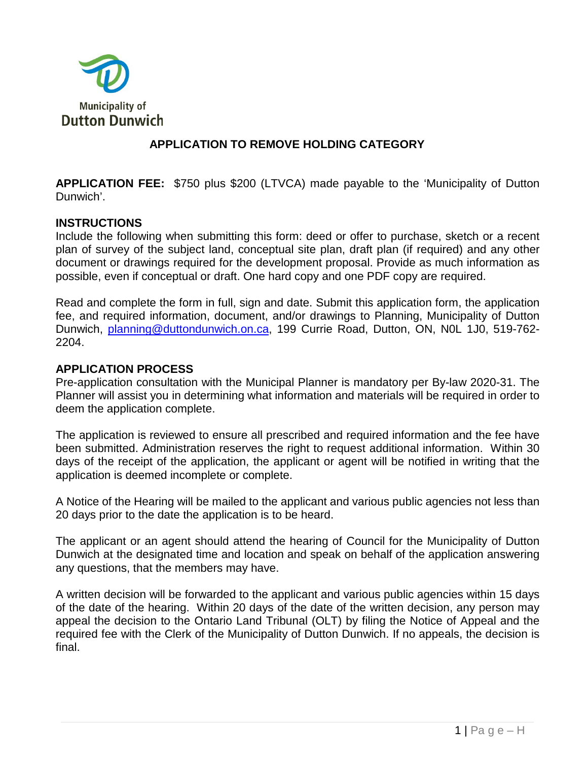

## **APPLICATION TO REMOVE HOLDING CATEGORY**

**APPLICATION FEE:** \$750 plus \$200 (LTVCA) made payable to the 'Municipality of Dutton Dunwich'.

#### **INSTRUCTIONS**

Include the following when submitting this form: deed or offer to purchase, sketch or a recent plan of survey of the subject land, conceptual site plan, draft plan (if required) and any other document or drawings required for the development proposal. Provide as much information as possible, even if conceptual or draft. One hard copy and one PDF copy are required.

Read and complete the form in full, sign and date. Submit this application form, the application fee, and required information, document, and/or drawings to Planning, Municipality of Dutton Dunwich, [planning@duttondunwich.on.ca,](mailto:planning@duttondunwich.on.ca) 199 Currie Road, Dutton, ON, N0L 1J0, 519-762- 2204.

### **APPLICATION PROCESS**

Pre-application consultation with the Municipal Planner is mandatory per By-law 2020-31. The Planner will assist you in determining what information and materials will be required in order to deem the application complete.

The application is reviewed to ensure all prescribed and required information and the fee have been submitted. Administration reserves the right to request additional information. Within 30 days of the receipt of the application, the applicant or agent will be notified in writing that the application is deemed incomplete or complete.

A Notice of the Hearing will be mailed to the applicant and various public agencies not less than 20 days prior to the date the application is to be heard.

The applicant or an agent should attend the hearing of Council for the Municipality of Dutton Dunwich at the designated time and location and speak on behalf of the application answering any questions, that the members may have.

A written decision will be forwarded to the applicant and various public agencies within 15 days of the date of the hearing. Within 20 days of the date of the written decision, any person may appeal the decision to the Ontario Land Tribunal (OLT) by filing the Notice of Appeal and the required fee with the Clerk of the Municipality of Dutton Dunwich. If no appeals, the decision is final.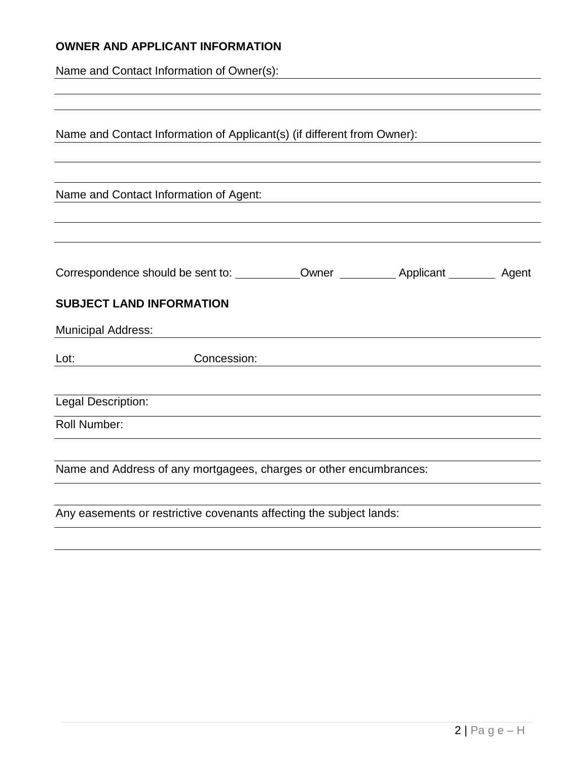# **OWNER AND APPLICANT INFORMATION**

Name and Contact Information of Owner(s):

|                           | Name and Contact Information of Applicant(s) (if different from Owner): |  |  |
|---------------------------|-------------------------------------------------------------------------|--|--|
|                           |                                                                         |  |  |
|                           | Name and Contact Information of Agent:                                  |  |  |
|                           |                                                                         |  |  |
|                           |                                                                         |  |  |
|                           | <b>SUBJECT LAND INFORMATION</b>                                         |  |  |
| <b>Municipal Address:</b> |                                                                         |  |  |
| Lot:                      | Concession:                                                             |  |  |
| Legal Description:        |                                                                         |  |  |
| <b>Roll Number:</b>       |                                                                         |  |  |
|                           |                                                                         |  |  |
|                           | Name and Address of any mortgagees, charges or other encumbrances:      |  |  |
|                           |                                                                         |  |  |
|                           | Any easements or restrictive covenants affecting the subject lands:     |  |  |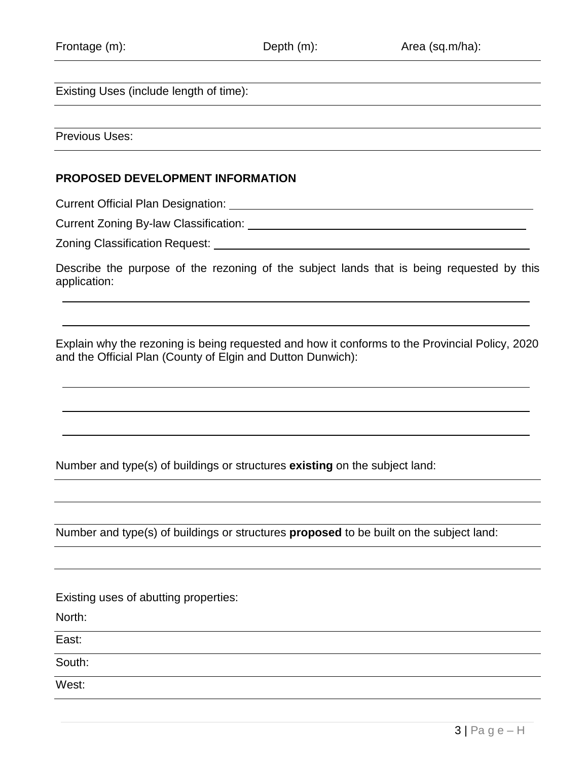Existing Uses (include length of time):

Previous Uses:

### **PROPOSED DEVELOPMENT INFORMATION**

Current Official Plan Designation:

Current Zoning By-law Classification:

Zoning Classification Request:

Describe the purpose of the rezoning of the subject lands that is being requested by this application:

Explain why the rezoning is being requested and how it conforms to the Provincial Policy, 2020 and the Official Plan (County of Elgin and Dutton Dunwich):

Number and type(s) of buildings or structures **existing** on the subject land:

Number and type(s) of buildings or structures **proposed** to be built on the subject land:

Existing uses of abutting properties:

North:

East:

South:

West: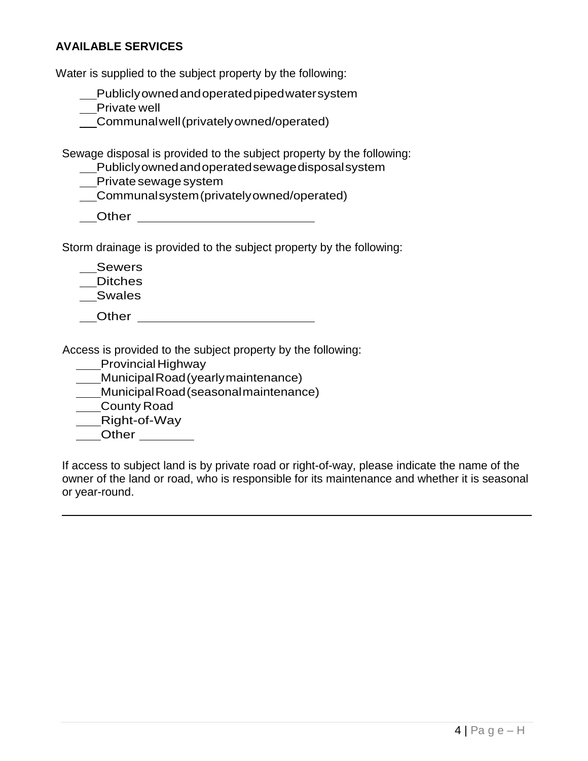### **AVAILABLE SERVICES**

Water is supplied to the subject property by the following:

| Publiclyowned and operated piped watersystem |  |  |
|----------------------------------------------|--|--|
|----------------------------------------------|--|--|

Private well

Communalwell(privatelyowned/operated)

Sewage disposal is provided to the subject property by the following:

| Publiclyowned and operated sewage disposal system |  |
|---------------------------------------------------|--|
|                                                   |  |

Private sewage system

| Other |  |
|-------|--|
|       |  |

Storm drainage is provided to the subject property by the following:

\_\_Sewers

Ditches

Swales

Other

Access is provided to the subject property by the following:

**\_\_\_\_Provincial Highway** 

MunicipalRoad(yearlymaintenance)

MunicipalRoad(seasonalmaintenance)

County Road

**Right-of-Way** 

Other \_\_\_\_\_\_\_\_

If access to subject land is by private road or right-of-way, please indicate the name of the owner of the land or road, who is responsible for its maintenance and whether it is seasonal or year-round.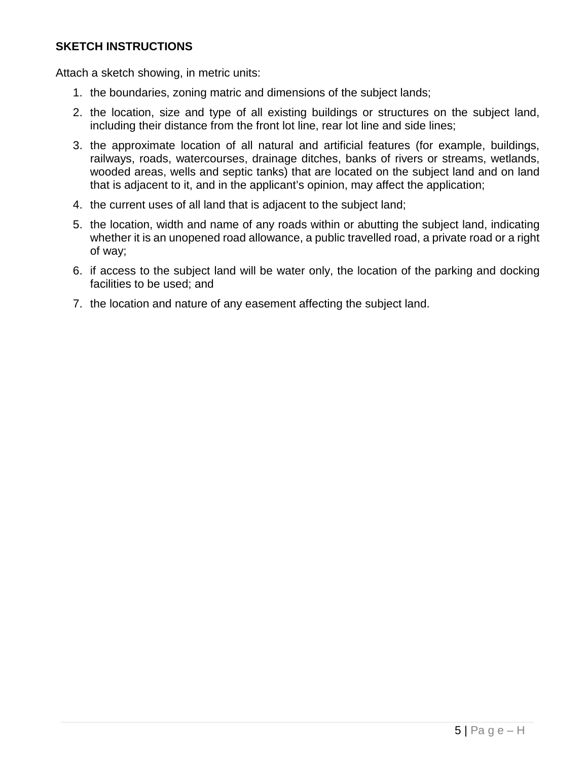### **SKETCH INSTRUCTIONS**

Attach a sketch showing, in metric units:

- 1. the boundaries, zoning matric and dimensions of the subject lands;
- 2. the location, size and type of all existing buildings or structures on the subject land, including their distance from the front lot line, rear lot line and side lines;
- 3. the approximate location of all natural and artificial features (for example, buildings, railways, roads, watercourses, drainage ditches, banks of rivers or streams, wetlands, wooded areas, wells and septic tanks) that are located on the subject land and on land that is adjacent to it, and in the applicant's opinion, may affect the application;
- 4. the current uses of all land that is adjacent to the subject land;
- 5. the location, width and name of any roads within or abutting the subject land, indicating whether it is an unopened road allowance, a public travelled road, a private road or a right of way;
- 6. if access to the subject land will be water only, the location of the parking and docking facilities to be used; and
- 7. the location and nature of any easement affecting the subject land.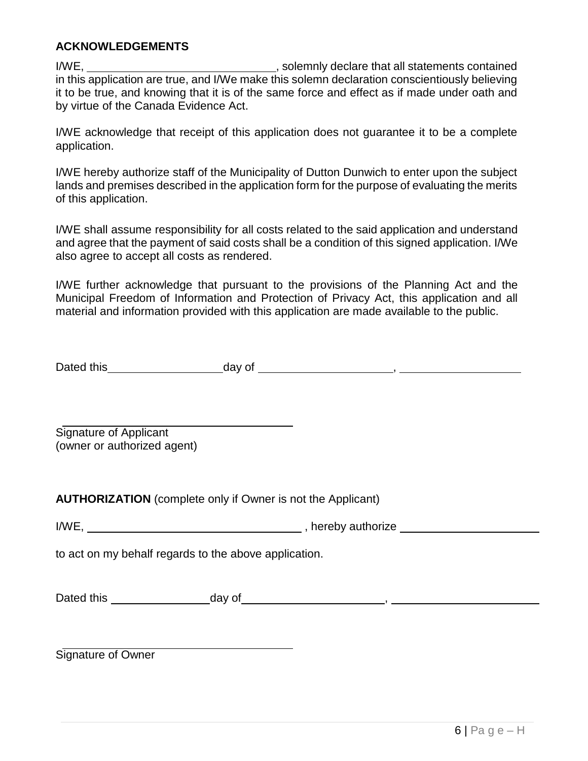### **ACKNOWLEDGEMENTS**

I/WE, I/WE, in this application are true, and I/We make this solemn declaration conscientiously believing it to be true, and knowing that it is of the same force and effect as if made under oath and by virtue of the Canada Evidence Act.

I/WE acknowledge that receipt of this application does not guarantee it to be a complete application.

I/WE hereby authorize staff of the Municipality of Dutton Dunwich to enter upon the subject lands and premises described in the application form for the purpose of evaluating the merits of this application.

I/WE shall assume responsibility for all costs related to the said application and understand and agree that the payment of said costs shall be a condition of this signed application. I/We also agree to accept all costs as rendered.

I/WE further acknowledge that pursuant to the provisions of the Planning Act and the Municipal Freedom of Information and Protection of Privacy Act, this application and all material and information provided with this application are made available to the public.

| Dated this | day of |  |
|------------|--------|--|
|            |        |  |

Signature of Applicant (owner or authorized agent)

**AUTHORIZATION** (complete only if Owner is not the Applicant)

to act on my behalf regards to the above application.

| Dated this | day of |  |
|------------|--------|--|
|            |        |  |

Signature of Owner